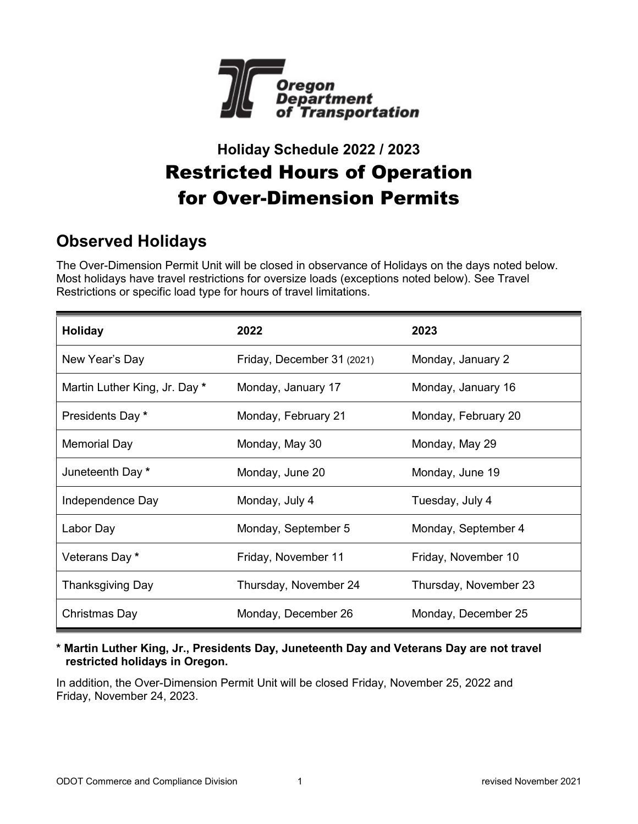

# **Holiday Schedule 2022 / 2023**  Restricted Hours of Operation for Over-Dimension Permits

## **Observed Holidays**

The Over-Dimension Permit Unit will be closed in observance of Holidays on the days noted below. Most holidays have travel restrictions for oversize loads (exceptions noted below). See Travel Restrictions or specific load type for hours of travel limitations.

| Holiday                       | 2022                       | 2023                  |
|-------------------------------|----------------------------|-----------------------|
| New Year's Day                | Friday, December 31 (2021) | Monday, January 2     |
| Martin Luther King, Jr. Day * | Monday, January 17         | Monday, January 16    |
| Presidents Day *              | Monday, February 21        | Monday, February 20   |
| Memorial Day                  | Monday, May 30             | Monday, May 29        |
| Juneteenth Day *              | Monday, June 20            | Monday, June 19       |
| Independence Day              | Monday, July 4             | Tuesday, July 4       |
| Labor Day                     | Monday, September 5        | Monday, September 4   |
| Veterans Day *                | Friday, November 11        | Friday, November 10   |
| Thanksgiving Day              | Thursday, November 24      | Thursday, November 23 |
| Christmas Day                 | Monday, December 26        | Monday, December 25   |

**\* Martin Luther King, Jr., Presidents Day, Juneteenth Day and Veterans Day are not travel restricted holidays in Oregon.**

In addition, the Over-Dimension Permit Unit will be closed Friday, November 25, 2022 and Friday, November 24, 2023.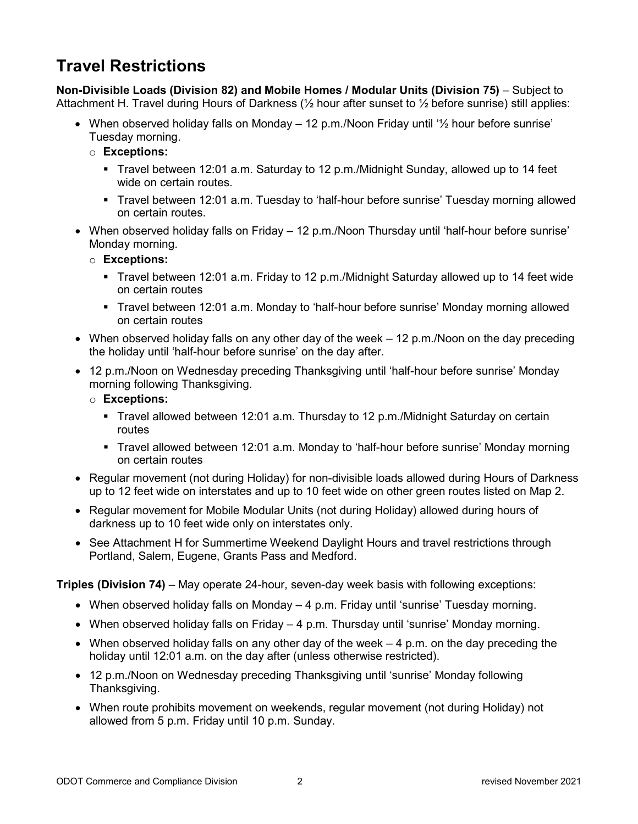## **Travel Restrictions**

**Non-Divisible Loads (Division 82) and Mobile Homes / Modular Units (Division 75)** – Subject to Attachment H. Travel during Hours of Darkness (½ hour after sunset to ½ before sunrise) still applies:

- When observed holiday falls on Monday  $-12$  p.m./Noon Friday until  $\frac{1}{2}$  hour before sunrise' Tuesday morning.
	- o **Exceptions:**
		- Travel between 12:01 a.m. Saturday to 12 p.m./Midnight Sunday, allowed up to 14 feet wide on certain routes.
		- Travel between 12:01 a.m. Tuesday to 'half-hour before sunrise' Tuesday morning allowed on certain routes.
- When observed holiday falls on Friday 12 p.m./Noon Thursday until 'half-hour before sunrise' Monday morning.
	- o **Exceptions:**
		- Travel between 12:01 a.m. Friday to 12 p.m./Midnight Saturday allowed up to 14 feet wide on certain routes
		- Travel between 12:01 a.m. Monday to 'half-hour before sunrise' Monday morning allowed on certain routes
- When observed holiday falls on any other day of the week 12 p.m./Noon on the day preceding the holiday until 'half-hour before sunrise' on the day after.
- 12 p.m./Noon on Wednesday preceding Thanksgiving until 'half-hour before sunrise' Monday morning following Thanksgiving.
	- o **Exceptions:**
		- Travel allowed between 12:01 a.m. Thursday to 12 p.m./Midnight Saturday on certain routes
		- Travel allowed between 12:01 a.m. Monday to 'half-hour before sunrise' Monday morning on certain routes
- Regular movement (not during Holiday) for non-divisible loads allowed during Hours of Darkness up to 12 feet wide on interstates and up to 10 feet wide on other green routes listed on Map 2.
- Regular movement for Mobile Modular Units (not during Holiday) allowed during hours of darkness up to 10 feet wide only on interstates only.
- See Attachment H for Summertime Weekend Daylight Hours and travel restrictions through Portland, Salem, Eugene, Grants Pass and Medford.

**Triples (Division 74)** – May operate 24-hour, seven-day week basis with following exceptions:

- When observed holiday falls on Monday 4 p.m. Friday until 'sunrise' Tuesday morning.
- When observed holiday falls on Friday 4 p.m. Thursday until 'sunrise' Monday morning.
- When observed holiday falls on any other day of the week  $-4$  p.m. on the day preceding the holiday until 12:01 a.m. on the day after (unless otherwise restricted).
- 12 p.m./Noon on Wednesday preceding Thanksgiving until 'sunrise' Monday following Thanksgiving.
- When route prohibits movement on weekends, regular movement (not during Holiday) not allowed from 5 p.m. Friday until 10 p.m. Sunday.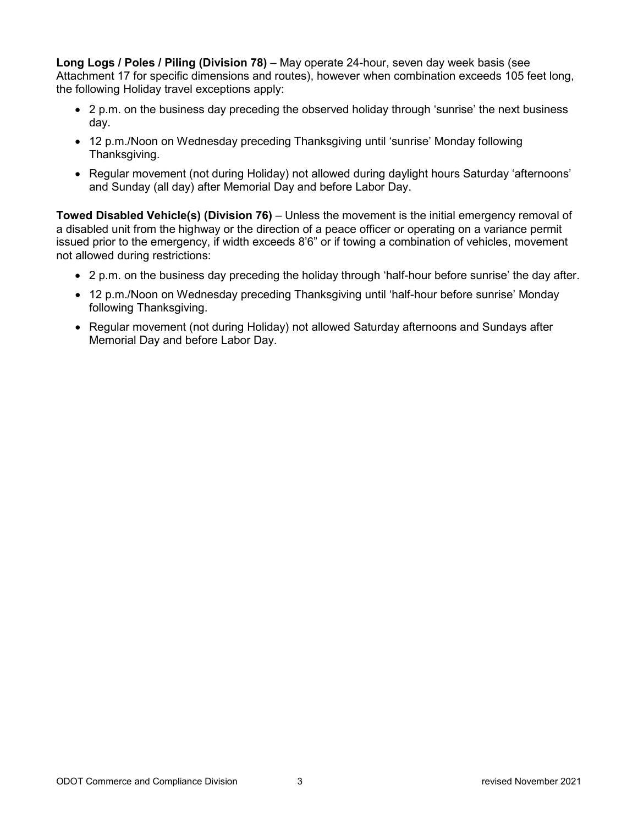**Long Logs / Poles / Piling (Division 78)** – May operate 24-hour, seven day week basis (see Attachment 17 for specific dimensions and routes), however when combination exceeds 105 feet long, the following Holiday travel exceptions apply:

- 2 p.m. on the business day preceding the observed holiday through 'sunrise' the next business day.
- 12 p.m./Noon on Wednesday preceding Thanksgiving until 'sunrise' Monday following Thanksgiving.
- Regular movement (not during Holiday) not allowed during daylight hours Saturday 'afternoons' and Sunday (all day) after Memorial Day and before Labor Day.

**Towed Disabled Vehicle(s) (Division 76)** – Unless the movement is the initial emergency removal of a disabled unit from the highway or the direction of a peace officer or operating on a variance permit issued prior to the emergency, if width exceeds 8'6" or if towing a combination of vehicles, movement not allowed during restrictions:

- 2 p.m. on the business day preceding the holiday through 'half-hour before sunrise' the day after.
- 12 p.m./Noon on Wednesday preceding Thanksgiving until 'half-hour before sunrise' Monday following Thanksgiving.
- Regular movement (not during Holiday) not allowed Saturday afternoons and Sundays after Memorial Day and before Labor Day.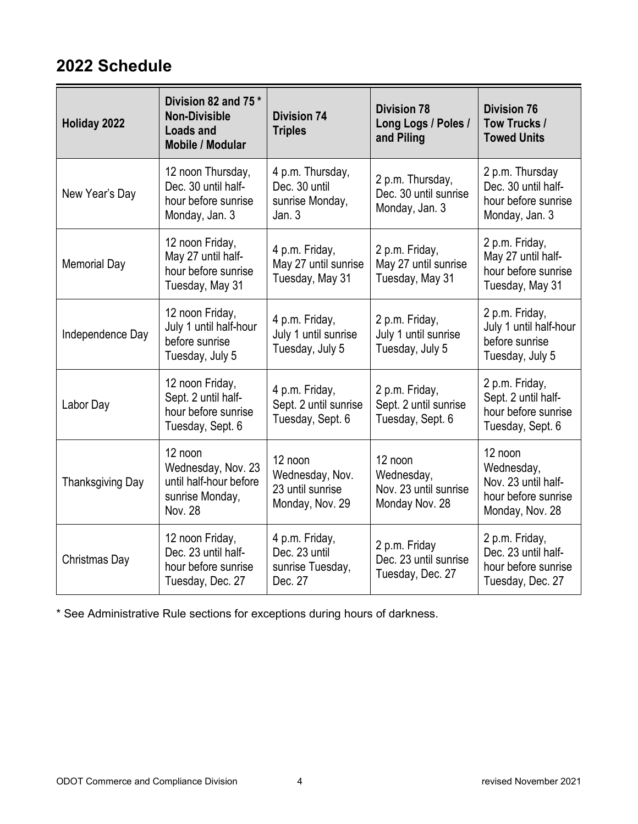### **2022 Schedule**

| Holiday 2022            | Division 82 and 75 *<br><b>Non-Divisible</b><br><b>Loads and</b><br>Mobile / Modular         | <b>Division 74</b><br><b>Triples</b>                              | <b>Division 78</b><br>Long Logs / Poles /<br>and Piling          | <b>Division 76</b><br>Tow Trucks /<br><b>Towed Units</b>                               |
|-------------------------|----------------------------------------------------------------------------------------------|-------------------------------------------------------------------|------------------------------------------------------------------|----------------------------------------------------------------------------------------|
| New Year's Day          | 12 noon Thursday,<br>Dec. 30 until half-<br>hour before sunrise<br>Monday, Jan. 3            | 4 p.m. Thursday,<br>Dec. 30 until<br>sunrise Monday,<br>Jan. 3    | 2 p.m. Thursday,<br>Dec. 30 until sunrise<br>Monday, Jan. 3      | 2 p.m. Thursday<br>Dec. 30 until half-<br>hour before sunrise<br>Monday, Jan. 3        |
| <b>Memorial Day</b>     | 12 noon Friday,<br>May 27 until half-<br>hour before sunrise<br>Tuesday, May 31              | 4 p.m. Friday,<br>May 27 until sunrise<br>Tuesday, May 31         | 2 p.m. Friday,<br>May 27 until sunrise<br>Tuesday, May 31        | 2 p.m. Friday,<br>May 27 until half-<br>hour before sunrise<br>Tuesday, May 31         |
| Independence Day        | 12 noon Friday,<br>July 1 until half-hour<br>before sunrise<br>Tuesday, July 5               | 4 p.m. Friday,<br>July 1 until sunrise<br>Tuesday, July 5         | 2 p.m. Friday,<br>July 1 until sunrise<br>Tuesday, July 5        | 2 p.m. Friday,<br>July 1 until half-hour<br>before sunrise<br>Tuesday, July 5          |
| Labor Day               | 12 noon Friday,<br>Sept. 2 until half-<br>hour before sunrise<br>Tuesday, Sept. 6            | 4 p.m. Friday,<br>Sept. 2 until sunrise<br>Tuesday, Sept. 6       | 2 p.m. Friday,<br>Sept. 2 until sunrise<br>Tuesday, Sept. 6      | 2 p.m. Friday,<br>Sept. 2 until half-<br>hour before sunrise<br>Tuesday, Sept. 6       |
| <b>Thanksgiving Day</b> | 12 noon<br>Wednesday, Nov. 23<br>until half-hour before<br>sunrise Monday,<br><b>Nov. 28</b> | 12 noon<br>Wednesday, Nov.<br>23 until sunrise<br>Monday, Nov. 29 | 12 noon<br>Wednesday,<br>Nov. 23 until sunrise<br>Monday Nov. 28 | 12 noon<br>Wednesday,<br>Nov. 23 until half-<br>hour before sunrise<br>Monday, Nov. 28 |
| Christmas Day           | 12 noon Friday,<br>Dec. 23 until half-<br>hour before sunrise<br>Tuesday, Dec. 27            | 4 p.m. Friday,<br>Dec. 23 until<br>sunrise Tuesday,<br>Dec. 27    | 2 p.m. Friday<br>Dec. 23 until sunrise<br>Tuesday, Dec. 27       | 2 p.m. Friday,<br>Dec. 23 until half-<br>hour before sunrise<br>Tuesday, Dec. 27       |

\* See Administrative Rule sections for exceptions during hours of darkness.